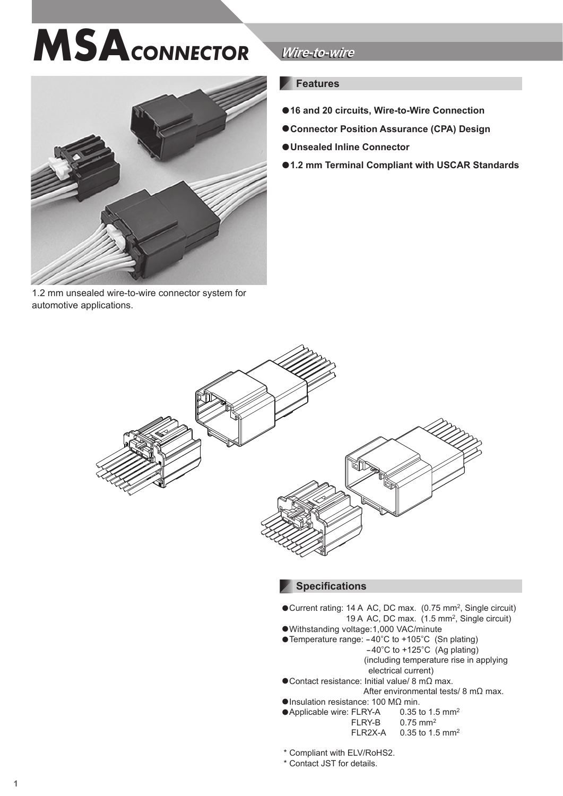# **MSA***CONNECTOR*



1.2 mm unsealed wire-to-wire connector system for automotive applications.

# *Wire-to-wire Wire-to-wire*

## **Features**

- **●16 and 20 circuits, Wire-to-Wire Connection**
- **●Connector Position Assurance (CPA) Design**
- **●Unsealed Inline Connector**
- **●1.2 mm Terminal Compliant with USCAR Standards**



#### **Specifications**

- **●**Current rating: 14 A AC, DC max. (0.75 mm2, Single circuit) 19 A AC, DC max. (1.5 mm2, Single circuit)
- **●**Withstanding voltage:1,000 VAC/minute
- **●**Temperature range: -40°C to +105°C (Sn plating)  $-40^{\circ}$ C to  $+125^{\circ}$ C (Ag plating) (including temperature rise in applying
	- electrical current)
- **●**Contact resistance: Initial value/ 8 mΩ max. After environmental tests/ 8 mΩ max.
- 
- **●Insulation resistance: 100 MΩ min.**<br>●Applicable wire: FLRY-A 0.35 to 1.5 mm<sup>2</sup> ●**Applicable wire: FLRY-A**<br>FLRY-B  $0.75$  mm<sup>2</sup> FI R2X-A  $0.35$  to 1.5 mm<sup>2</sup>
- \* Compliant with ELV/RoHS2.
- \* Contact JST for details.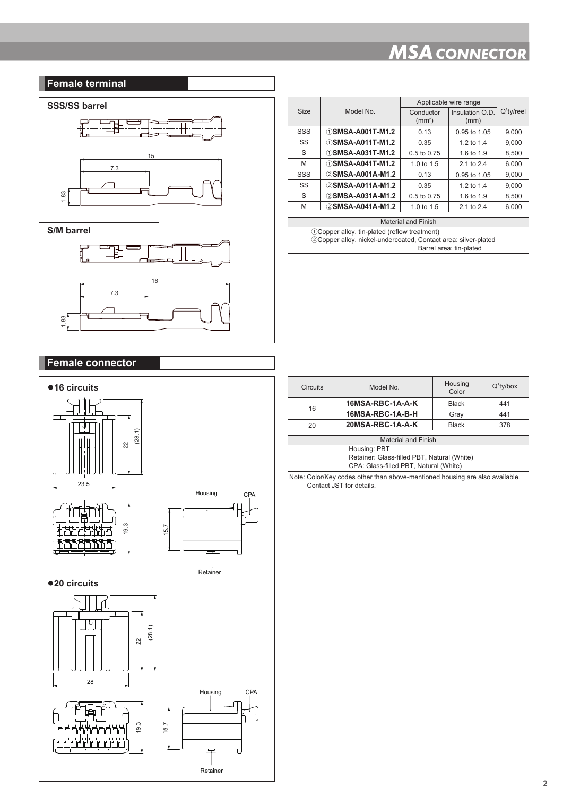# *MSA CONNECTOR*

#### **Female terminal**

1.83



|      | Model No                       | Applicable wire range     |                         |              |
|------|--------------------------------|---------------------------|-------------------------|--------------|
| Size |                                | Conductor<br>$\rm (mm^2)$ | Insulation O.D.<br>(mm) | $Q'$ ty/reel |
| SSS  | <b><i>DSMSA-A001T-M1.2</i></b> | 0.13                      | 0.95 to 1.05            | 9,000        |
| SS   | ①SMSA-A011T-M1.2               | 0.35                      | 1.2 to 1.4              | 9,000        |
| S    | <b><i>DSMSA-A031T-M1.2</i></b> | 0.5 to 0.75               | 1.6 to 1.9              | 8.500        |
| M    | ①SMSA-A041T-M1.2               | 1.0 to $1.5$              | 2.1 to 2.4              | 6.000        |
| SSS  | 2 SMSA-A001A-M1.2              | 0.13                      | 0.95 to 1.05            | 9.000        |
| SS   | 2 SMSA-A011A-M1.2              | 0.35                      | 1.2 to 1.4              | 9.000        |
| S    | 2 SMSA-A031A-M1.2              | 0.5 to 0.75               | 1.6 to 1.9              | 8,500        |
| M    | 2 SMSA-A041A-M1.2              | 1.0 to $1.5$              | 2.1 to 2.4              | 6.000        |

Material and Finish

ΖCopper alloy, tin-plated (reflow treatment) ΗCopper alloy, nickel-undercoated, Contact area: silver-plated Barrel area: tin-plated

| <b>Female connector</b>             |                             |
|-------------------------------------|-----------------------------|
| ●16 circuits                        |                             |
| Ψ<br>(28.1)<br>$22 \text{ }$        |                             |
| 23.5<br>19.3<br>וכן                 | Housing<br>CPA<br>I<br>15.7 |
| ●20 circuits                        | Retainer                    |
| ψ<br>(28.1)<br>$\overline{2}$<br>28 |                             |
| 19.3                                | Housing<br>CPA<br>15.7<br>┑ |
|                                     | Retainer                    |

| <b>Circuits</b>     | Model No.        | Housing<br>Color | $Q'$ ty/box |
|---------------------|------------------|------------------|-------------|
| 16                  | 16MSA-RBC-1A-A-K | <b>Black</b>     | 441         |
|                     | 16MSA-RBC-1A-B-H | Gray             | 441         |
| 20                  | 20MSA-RBC-1A-A-K | <b>Black</b>     | 378         |
|                     |                  |                  |             |
| Material and Finish |                  |                  |             |
|                     | Housing: PBT     |                  |             |

Retainer: Glass-filled PBT, Natural (White) CPA: Glass-filled PBT, Natural (White)

Note: Color/Key codes other than above-mentioned housing are also available. Contact JST for details.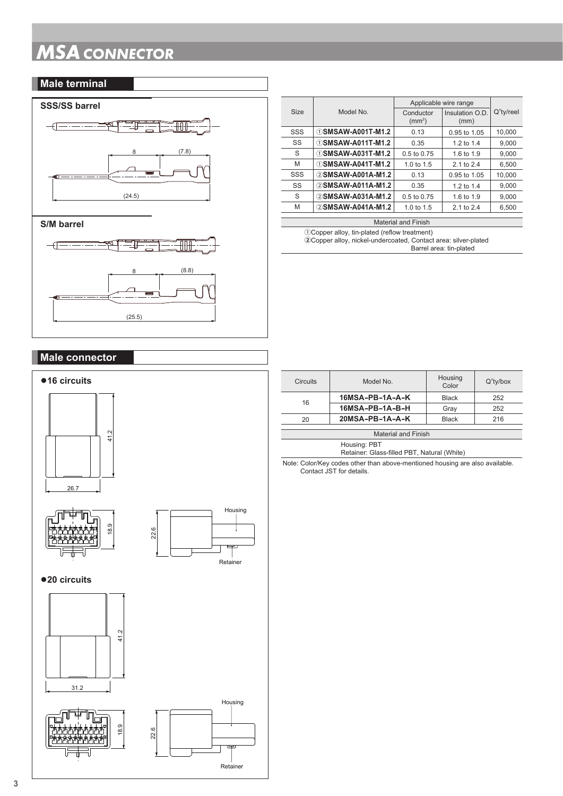# *MSA CONNECTOR*

#### **Male terminal**



| Applicable wire range                                                            |           |
|----------------------------------------------------------------------------------|-----------|
| Model No.<br><b>Size</b><br>Insulation O.D.<br>Conductor<br>$\rm (mm^2)$<br>(mm) | Q'ty/reel |
| ①SMSAW-A001T-M1.2<br>SSS<br>0.13<br>0.95 to 1.05                                 | 10.000    |
| ①SMSAW-A011T-M1.2<br>SS<br>0.35<br>1.2 to 1.4                                    | 9.000     |
| S<br>①SMSAW-A031T-M1.2<br>0.5 to 0.75<br>1.6 to 1.9                              | 9.000     |
| ①SMSAW-A041T-M1.2<br>M<br>1.0 to $1.5$<br>2.1 to 2.4                             | 6.500     |
| 2 SMSAW-A001A-M1.2<br>SSS<br>0.13<br>0.95 to 1.05                                | 10,000    |
| 2 SMSAW-A011A-M1.2<br>SS<br>0.35<br>1.2 to 1.4                                   | 9.000     |
| S<br>2 SMSAW-A031A-M1.2<br>0.5 to 0.75<br>1.6 to 1.9                             | 9.000     |
| 2 SMSAW-A041A-M1.2<br>M<br>1.0 to 1.5<br>2.1 to 2.4                              | 6,500     |

#### **S/M barrel**



#### Material and Finish

ΖCopper alloy, tin-plated (reflow treatment) **Η**Copper alloy, nickel-undercoated, Contact area: silver-plated Barrel area: tin-plated

# **Male connector**



| <b>Circuits</b>                             | Model No.       | Housing<br>Color | $Q'$ ty/box |
|---------------------------------------------|-----------------|------------------|-------------|
| 16                                          | 16MSA-PB-1A-A-K | Black            | 252         |
|                                             | 16MSA-PB-1A-B-H | Gray             | 252         |
| 20                                          | 20MSA-PB-1A-A-K | <b>Black</b>     | 216         |
|                                             |                 |                  |             |
| <b>Material and Finish</b>                  |                 |                  |             |
| Housing: PBT                                |                 |                  |             |
| Retainer: Glass-filled PBT, Natural (White) |                 |                  |             |

Note: Color/Key codes other than above-mentioned housing are also available. Contact JST for details.